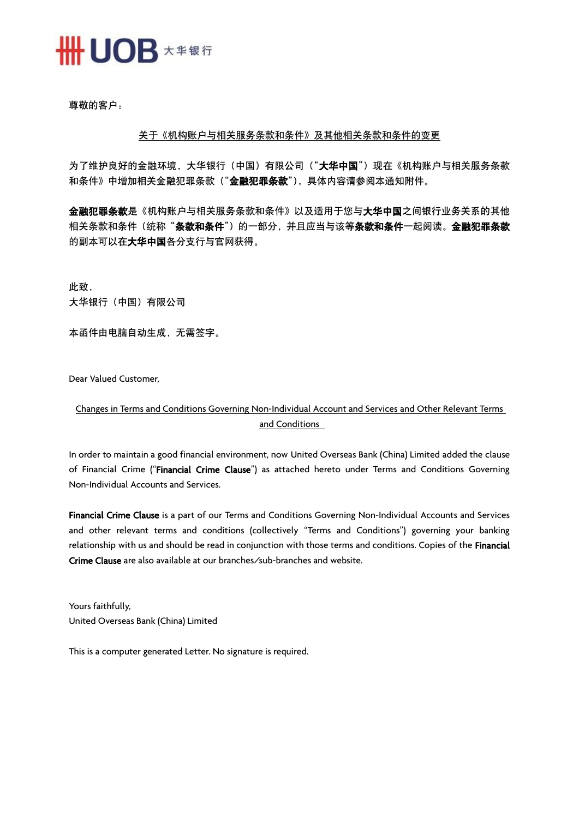

尊敬的客户:

## 关于《机构账户与相关服务条款和条件》及其他相关条款和条件的变更

为了维护良好的金融环境,大华银行(中国)有限公司("大华中国")现在《机构账户与相关服务条款 和条件》中增加相关金融犯罪条款("金融犯罪条款"),具体内容请参阅本通知附件。

金融犯罪条款是《机构账户与相关服务条款和条件》以及适用于您与大华中国之间银行业务关系的其他 相关条款和条件(统称"**条款和条件**")的一部分,并且应当与该等**条款和条件一**起阅读。**金融犯罪条款** 的副本可以在大华中国各分支行与官网获得。

此致, 大华银行(中国)有限公司

本函件由电脑自动生成,无需签字。

Dear Valued Customer,

## Changes in Terms and Conditions Governing Non-Individual Account and Services and Other Relevant Terms and Conditions

In order to maintain a good financial environment, now United Overseas Bank (China) Limited added the clause of Financial Crime ("Financial Crime Clause") as attached hereto under Terms and Conditions Governing Non-Individual Accounts and Services.

Financial Crime Clause is a part of our Terms and Conditions Governing Non-Individual Accounts and Services and other relevant terms and conditions (collectively "Terms and Conditions") governing your banking relationship with us and should be read in conjunction with those terms and conditions. Copies of the Financial Crime Clause are also available at our branches/sub-branches and website.

Yours faithfully, United Overseas Bank (China) Limited

This is a computer generated Letter. No signature is required.